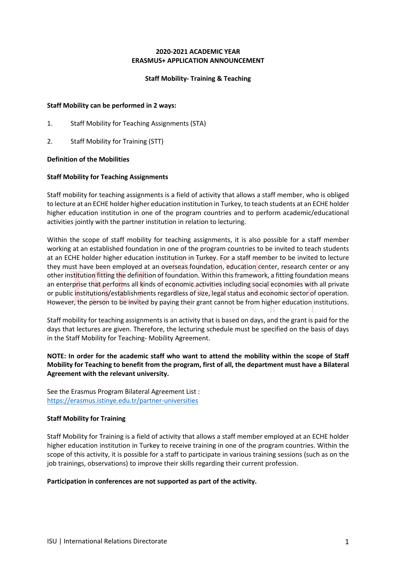## **2020-2021 ACADEMIC YEAR ERASMUS+ APPLICATION ANNOUNCEMENT**

## **Staff Mobility- Training & Teaching**

## **Staff Mobility can be performed in 2 ways:**

- 1. Staff Mobility for Teaching Assignments (STA)
- 2. Staff Mobility for Training (STT)

## **Definition of the Mobilities**

## **Staff Mobility for Teaching Assignments**

Staff mobility for teaching assignments is a field of activity that allows a staff member, who is obliged to lecture at an ECHE holder higher education institution in Turkey, to teach students at an ECHE holder higher education institution in one of the program countries and to perform academic/educational activities jointly with the partner institution in relation to lecturing.

Within the scope of staff mobility for teaching assignments, it is also possible for a staff member working at an established foundation in one of the program countries to be invited to teach students at an ECHE holder higher education institution in Turkey. For a staff member to be invited to lecture they must have been employed at an overseas foundation, education center, research center or any other institution fitting the definition of foundation. Within this framework, a fitting foundation means an enterprise that performs all kinds of economic activities including social economies with all private or public institutions/establishments regardless of size, legal status and economic sector of operation. However, the person to be invited by paying their grant cannot be from higher education institutions.

Staff mobility for teaching assignments is an activity that is based on days, and the grant is paid for the days that lectures are given. Therefore, the lecturing schedule must be specified on the basis of days in the Staff Mobility for Teaching- Mobility Agreement.

# **NOTE: In order for the academic staff who want to attend the mobility within the scope of Staff Mobility for Teaching to benefit from the program, first of all, the department must have a Bilateral Agreement with the relevant university.**

See the Erasmus Program Bilateral Agreement List : https://erasmus.istinye.edu.tr/partner-universities

## **Staff Mobility for Training**

Staff Mobility for Training is a field of activity that allows a staff member employed at an ECHE holder higher education institution in Turkey to receive training in one of the program countries. Within the scope of this activity, it is possible for a staff to participate in various training sessions (such as on the job trainings, observations) to improve their skills regarding their current profession.

## **Participation in conferences are not supported as part of the activity.**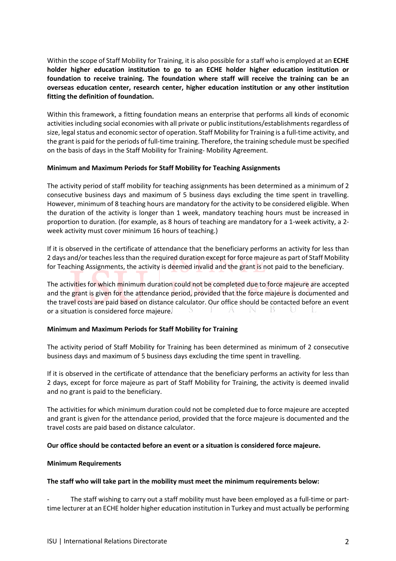Within the scope of Staff Mobility for Training, it is also possible for a staff who is employed at an **ECHE holder higher education institution to go to an ECHE holder higher education institution or foundation to receive training. The foundation where staff will receive the training can be an overseas education center, research center, higher education institution or any other institution fitting the definition of foundation.** 

Within this framework, a fitting foundation means an enterprise that performs all kinds of economic activities including social economies with all private or public institutions/establishments regardless of size, legal status and economic sector of operation. Staff Mobility for Training is a full-time activity, and the grant is paid for the periods of full-time training. Therefore, the training schedule must be specified on the basis of days in the Staff Mobility for Training- Mobility Agreement.

## **Minimum and Maximum Periods for Staff Mobility for Teaching Assignments**

The activity period of staff mobility for teaching assignments has been determined as a minimum of 2 consecutive business days and maximum of 5 business days excluding the time spent in travelling. However, minimum of 8 teaching hours are mandatory for the activity to be considered eligible. When the duration of the activity is longer than 1 week, mandatory teaching hours must be increased in proportion to duration. (for example, as 8 hours of teaching are mandatory for a 1-week activity, a 2 week activity must cover minimum 16 hours of teaching.)

If it is observed in the certificate of attendance that the beneficiary performs an activity for less than 2 days and/or teaches less than the required duration except for force majeure as part of Staff Mobility for Teaching Assignments, the activity is deemed invalid and the grant is not paid to the beneficiary.

The activities for which minimum duration could not be completed due to force majeure are accepted and the grant is given for the attendance period, provided that the force majeure is documented and the travel costs are paid based on distance calculator. Our office should be contacted before an event or a situation is considered force majeure.

## **Minimum and Maximum Periods for Staff Mobility for Training**

The activity period of Staff Mobility for Training has been determined as minimum of 2 consecutive business days and maximum of 5 business days excluding the time spent in travelling.

If it is observed in the certificate of attendance that the beneficiary performs an activity for less than 2 days, except for force majeure as part of Staff Mobility for Training, the activity is deemed invalid and no grant is paid to the beneficiary.

The activities for which minimum duration could not be completed due to force majeure are accepted and grant is given for the attendance period, provided that the force majeure is documented and the travel costs are paid based on distance calculator.

## **Our office should be contacted before an event or a situation is considered force majeure.**

## **Minimum Requirements**

## **The staff who will take part in the mobility must meet the minimum requirements below:**

The staff wishing to carry out a staff mobility must have been employed as a full-time or parttime lecturer at an ECHE holder higher education institution in Turkey and must actually be performing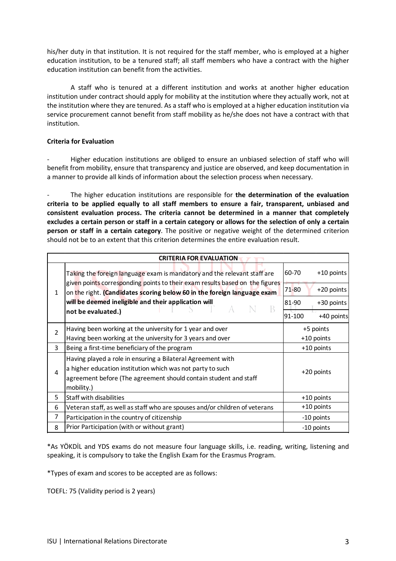his/her duty in that institution. It is not required for the staff member, who is employed at a higher education institution, to be a tenured staff; all staff members who have a contract with the higher education institution can benefit from the activities.

A staff who is tenured at a different institution and works at another higher education institution under contract should apply for mobility at the institution where they actually work, not at the institution where they are tenured. As a staff who is employed at a higher education institution via service procurement cannot benefit from staff mobility as he/she does not have a contract with that institution.

# **Criteria for Evaluation**

- Higher education institutions are obliged to ensure an unbiased selection of staff who will benefit from mobility, ensure that transparency and justice are observed, and keep documentation in a manner to provide all kinds of information about the selection process when necessary.

- The higher education institutions are responsible for **the determination of the evaluation criteria to be applied equally to all staff members to ensure a fair, transparent, unbiased and consistent evaluation process. The criteria cannot be determined in a manner that completely excludes a certain person or staff in a certain category or allows for the selection of only a certain person or staff in a certain category**. The positive or negative weight of the determined criterion should not be to an extent that this criterion determines the entire evaluation result.

| <b>CRITERIA FOR EVALUATION</b> |                                                                                                                                                                                                                                                                                                                        |                           |              |  |  |
|--------------------------------|------------------------------------------------------------------------------------------------------------------------------------------------------------------------------------------------------------------------------------------------------------------------------------------------------------------------|---------------------------|--------------|--|--|
| 1                              | Taking the foreign language exam is mandatory and the relevant staff are<br>given points corresponding points to their exam results based on the figures<br>on the right. (Candidates scoring below 60 in the foreign language exam<br>will be deemed ineligible and their application will<br>B<br>not be evaluated.) | 60-70                     | +10 points   |  |  |
|                                |                                                                                                                                                                                                                                                                                                                        | $71 - 80$                 | +20 points   |  |  |
|                                |                                                                                                                                                                                                                                                                                                                        | 81-90                     | $+30$ points |  |  |
|                                |                                                                                                                                                                                                                                                                                                                        | 91-100                    | +40 points   |  |  |
| 2                              | Having been working at the university for 1 year and over                                                                                                                                                                                                                                                              | $+5$ points<br>+10 points |              |  |  |
|                                | Having been working at the university for 3 years and over                                                                                                                                                                                                                                                             |                           |              |  |  |
| 3                              | Being a first-time beneficiary of the program                                                                                                                                                                                                                                                                          | $+10$ points              |              |  |  |
| 4                              | Having played a role in ensuring a Bilateral Agreement with<br>a higher education institution which was not party to such<br>agreement before (The agreement should contain student and staff<br>mobility.)                                                                                                            | $+20$ points              |              |  |  |
| 5                              | <b>Staff with disabilities</b>                                                                                                                                                                                                                                                                                         |                           | $+10$ points |  |  |
| 6                              | Veteran staff, as well as staff who are spouses and/or children of veterans                                                                                                                                                                                                                                            |                           | +10 points   |  |  |
| 7                              | Participation in the country of citizenship                                                                                                                                                                                                                                                                            | -10 points                |              |  |  |
| 8                              | Prior Participation (with or without grant)                                                                                                                                                                                                                                                                            |                           | -10 points   |  |  |

\*As YÖKDİL and YDS exams do not measure four language skills, i.e. reading, writing, listening and speaking, it is compulsory to take the English Exam for the Erasmus Program.

\*Types of exam and scores to be accepted are as follows:

TOEFL: 75 (Validity period is 2 years)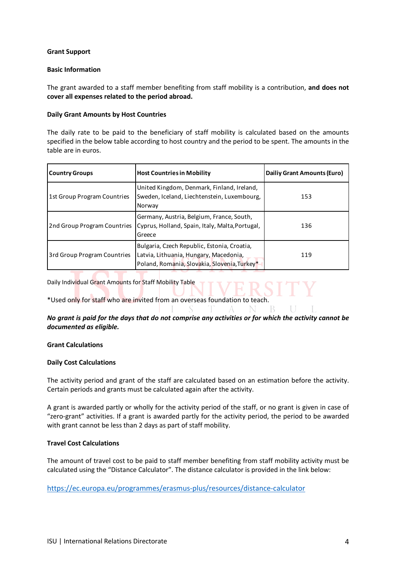## **Grant Support**

## **Basic Information**

The grant awarded to a staff member benefiting from staff mobility is a contribution, **and does not cover all expenses related to the period abroad.**

## **Daily Grant Amounts by Host Countries**

The daily rate to be paid to the beneficiary of staff mobility is calculated based on the amounts specified in the below table according to host country and the period to be spent. The amounts in the table are in euros.

| <b>Country Groups</b>       | <b>Host Countries in Mobility</b>                                                                                                     | Dailiy Grant Amounts (Euro) |
|-----------------------------|---------------------------------------------------------------------------------------------------------------------------------------|-----------------------------|
| 1st Group Program Countries | United Kingdom, Denmark, Finland, Ireland,<br>Sweden, Iceland, Liechtenstein, Luxembourg,<br>Norway                                   | 153                         |
| 2nd Group Program Countries | Germany, Austria, Belgium, France, South,<br>Cyprus, Holland, Spain, Italy, Malta, Portugal,<br>Greece                                | 136                         |
| 3rd Group Program Countries | Bulgaria, Czech Republic, Estonia, Croatia,<br>Latvia, Lithuania, Hungary, Macedonia,<br>Poland, Romania, Slovakia, Slovenia, Turkey* | 119                         |

Daily Individual Grant Amounts for Staff Mobility Table

\*Used only for staff who are invited from an overseas foundation to teach.

# *No grant is paid for the days that do not comprise any activities or for which the activity cannot be documented as eligible.*

R

## **Grant Calculations**

## **Daily Cost Calculations**

The activity period and grant of the staff are calculated based on an estimation before the activity. Certain periods and grants must be calculated again after the activity.

A grant is awarded partly or wholly for the activity period of the staff, or no grant is given in case of "zero-grant" activities. If a grant is awarded partly for the activity period, the period to be awarded with grant cannot be less than 2 days as part of staff mobility.

## **Travel Cost Calculations**

The amount of travel cost to be paid to staff member benefiting from staff mobility activity must be calculated using the "Distance Calculator". The distance calculator is provided in the link below:

https://ec.europa.eu/programmes/erasmus-plus/resources/distance-calculator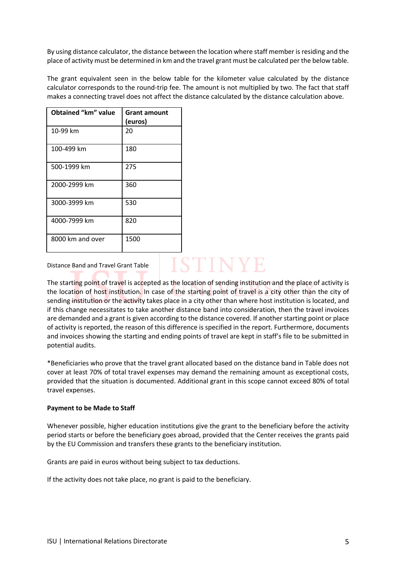By using distance calculator, the distance between the location where staff member is residing and the place of activity must be determined in km and the travel grant must be calculated per the below table.

The grant equivalent seen in the below table for the kilometer value calculated by the distance calculator corresponds to the round-trip fee. The amount is not multiplied by two. The fact that staff makes a connecting travel does not affect the distance calculated by the distance calculation above.

| <b>Obtained "km" value</b> | <b>Grant amount</b><br>(euros) |
|----------------------------|--------------------------------|
| 10-99 km                   | 20                             |
| 100-499 km                 | 180                            |
| 500-1999 km                | 275                            |
| 2000-2999 km               | 360                            |
| 3000-3999 km               | 530                            |
| 4000-7999 km               | 820                            |
| 8000 km and over           | 1500                           |

## Distance Band and Travel Grant Table

The starting point of travel is accepted as the location of sending institution and the place of activity is the location of host institution. In case of the starting point of travel is a city other than the city of sending institution or the activity takes place in a city other than where host institution is located, and if this change necessitates to take another distance band into consideration, then the travel invoices are demanded and a grant is given according to the distance covered. If another starting point or place of activity is reported, the reason of this difference is specified in the report. Furthermore, documents and invoices showing the starting and ending points of travel are kept in staff's file to be submitted in potential audits.

**ISTINYE** 

\*Beneficiaries who prove that the travel grant allocated based on the distance band in Table does not cover at least 70% of total travel expenses may demand the remaining amount as exceptional costs, provided that the situation is documented. Additional grant in this scope cannot exceed 80% of total travel expenses.

## **Payment to be Made to Staff**

Whenever possible, higher education institutions give the grant to the beneficiary before the activity period starts or before the beneficiary goes abroad, provided that the Center receives the grants paid by the EU Commission and transfers these grants to the beneficiary institution.

Grants are paid in euros without being subject to tax deductions.

If the activity does not take place, no grant is paid to the beneficiary.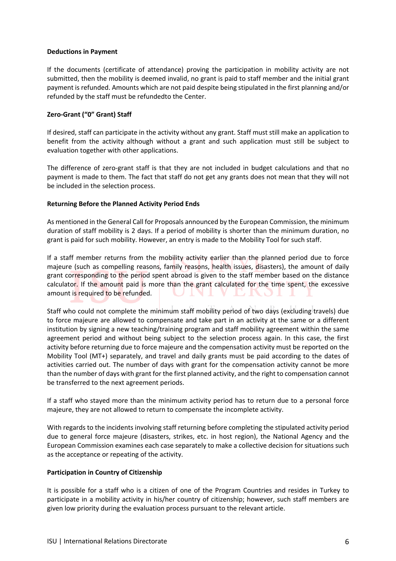## **Deductions in Payment**

If the documents (certificate of attendance) proving the participation in mobility activity are not submitted, then the mobility is deemed invalid, no grant is paid to staff member and the initial grant payment is refunded. Amounts which are not paid despite being stipulated in the first planning and/or refunded by the staff must be refundedto the Center.

# **Zero-Grant ("0" Grant) Staff**

If desired, staff can participate in the activity without any grant. Staff must still make an application to benefit from the activity although without a grant and such application must still be subject to evaluation together with other applications.

The difference of zero-grant staff is that they are not included in budget calculations and that no payment is made to them. The fact that staff do not get any grants does not mean that they will not be included in the selection process.

## **Returning Before the Planned Activity Period Ends**

As mentioned in the General Call for Proposals announced by the European Commission, the minimum duration of staff mobility is 2 days. If a period of mobility is shorter than the minimum duration, no grant is paid for such mobility. However, an entry is made to the Mobility Tool for such staff.

If a staff member returns from the mobility activity earlier than the planned period due to force majeure (such as compelling reasons, family reasons, health issues, disasters), the amount of daily grant corresponding to the period spent abroad is given to the staff member based on the distance calculator. If the amount paid is more than the grant calculated for the time spent, the excessive amount is required to be refunded.

Staff who could not complete the minimum staff mobility period of two days (excluding travels) due to force majeure are allowed to compensate and take part in an activity at the same or a different institution by signing a new teaching/training program and staff mobility agreement within the same agreement period and without being subject to the selection process again. In this case, the first activity before returning due to force majeure and the compensation activity must be reported on the Mobility Tool (MT+) separately, and travel and daily grants must be paid according to the dates of activities carried out. The number of days with grant for the compensation activity cannot be more than the number of days with grant for the first planned activity, and the right to compensation cannot be transferred to the next agreement periods.

If a staff who stayed more than the minimum activity period has to return due to a personal force majeure, they are not allowed to return to compensate the incomplete activity.

With regards to the incidents involving staff returning before completing the stipulated activity period due to general force majeure (disasters, strikes, etc. in host region), the National Agency and the European Commission examines each case separately to make a collective decision for situations such as the acceptance or repeating of the activity.

## **Participation in Country of Citizenship**

It is possible for a staff who is a citizen of one of the Program Countries and resides in Turkey to participate in a mobility activity in his/her country of citizenship; however, such staff members are given low priority during the evaluation process pursuant to the relevant article.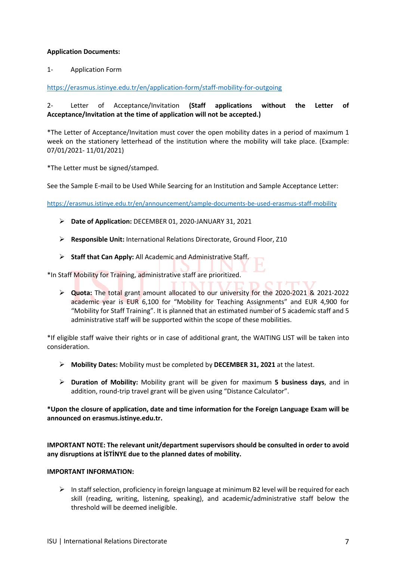## **Application Documents:**

1- Application Form

https://erasmus.istinye.edu.tr/en/application-form/staff-mobility-for-outgoing

# 2- Letter of Acceptance/Invitation **(Staff applications without the Letter of Acceptance/Invitation at the time of application will not be accepted.)**

\*The Letter of Acceptance/Invitation must cover the open mobility dates in a period of maximum 1 week on the stationery letterhead of the institution where the mobility will take place. (Example: 07/01/2021- 11/01/2021)

\*The Letter must be signed/stamped.

See the Sample E-mail to be Used While Searcing for an Institution and Sample Acceptance Letter:

https://erasmus.istinye.edu.tr/en/announcement/sample-documents-be-used-erasmus-staff-mobility

- Ø **Date of Application:** DECEMBER 01, 2020-JANUARY 31, 2021
- Ø **Responsible Unit:** International Relations Directorate, Ground Floor, Z10
- Ø **Staff that Can Apply:** All Academic and Administrative Staff.

\*In Staff Mobility for Training, administrative staff are prioritized.

Ø **Quota:** The total grant amount allocated to our university for the 2020-2021 & 2021-2022 academic year is EUR 6,100 for "Mobility for Teaching Assignments" and EUR 4,900 for "Mobility for Staff Training". It is planned that an estimated number of 5 academic staff and 5 administrative staff will be supported within the scope of these mobilities.

\*If eligible staff waive their rights or in case of additional grant, the WAITING LIST will be taken into consideration.

- Ø **Mobility Dates:** Mobility must be completed by **DECEMBER 31, 2021** at the latest.
- Ø **Duration of Mobility:** Mobility grant will be given for maximum **5 business days**, and in addition, round-trip travel grant will be given using "Distance Calculator".

**\*Upon the closure of application, date and time information for the Foreign Language Exam will be announced on erasmus.istinye.edu.tr.**

**IMPORTANT NOTE: The relevant unit/department supervisors should be consulted in order to avoid any disruptions at İSTİNYE due to the planned dates of mobility.** 

## **IMPORTANT INFORMATION:**

 $\triangleright$  In staff selection, proficiency in foreign language at minimum B2 level will be required for each skill (reading, writing, listening, speaking), and academic/administrative staff below the threshold will be deemed ineligible.